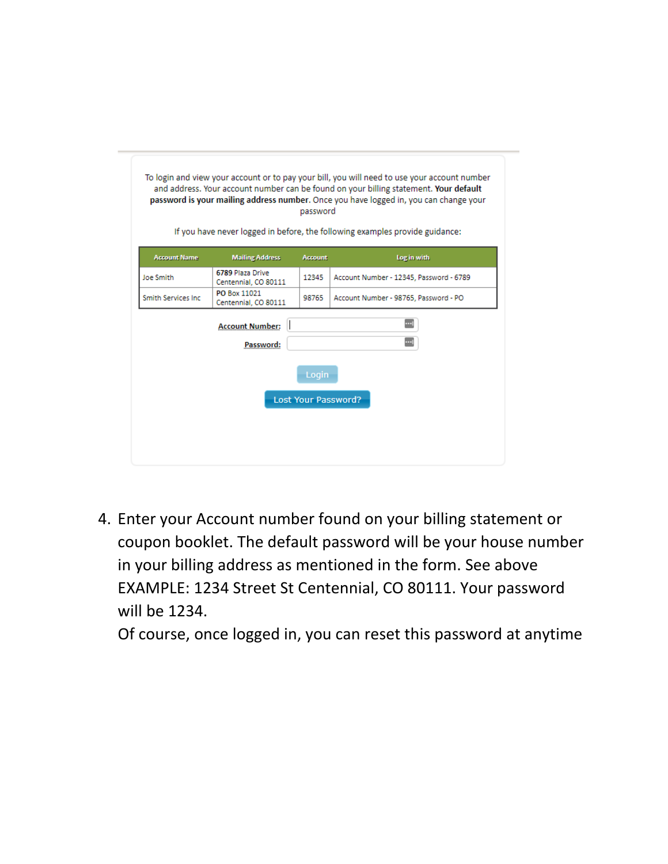| To login and view your account or to pay your bill, you will need to use your account number<br>and address. Your account number can be found on your billing statement. Your default<br>password is your mailing address number. Once you have logged in, you can change your<br>password<br>If you have never logged in before, the following examples provide guidance: |                                          |                |                                         |  |  |  |  |
|----------------------------------------------------------------------------------------------------------------------------------------------------------------------------------------------------------------------------------------------------------------------------------------------------------------------------------------------------------------------------|------------------------------------------|----------------|-----------------------------------------|--|--|--|--|
| <b>Account Name</b>                                                                                                                                                                                                                                                                                                                                                        | <b>Mailing Address</b>                   | <b>Account</b> | Log in with                             |  |  |  |  |
| Joe Smith                                                                                                                                                                                                                                                                                                                                                                  | 6789 Plaza Drive<br>Centennial, CO 80111 | 12345          | Account Number - 12345, Password - 6789 |  |  |  |  |
| <b>Smith Services Inc.</b>                                                                                                                                                                                                                                                                                                                                                 | PO Box 11021<br>Centennial, CO 80111     | 98765          | Account Number - 98765, Password - PO   |  |  |  |  |
|                                                                                                                                                                                                                                                                                                                                                                            | <b>Account Number:</b><br>Password:      |                |                                         |  |  |  |  |
| Login<br><b>Lost Your Password?</b>                                                                                                                                                                                                                                                                                                                                        |                                          |                |                                         |  |  |  |  |

4. Enter your Account number found on your billing statement or coupon booklet. The default password will be your house number in your billing address as mentioned in the form. See above EXAMPLE: 1234 Street St Centennial, CO 80111. Your password will be 1234.

Of course, once logged in, you can reset this password at anytime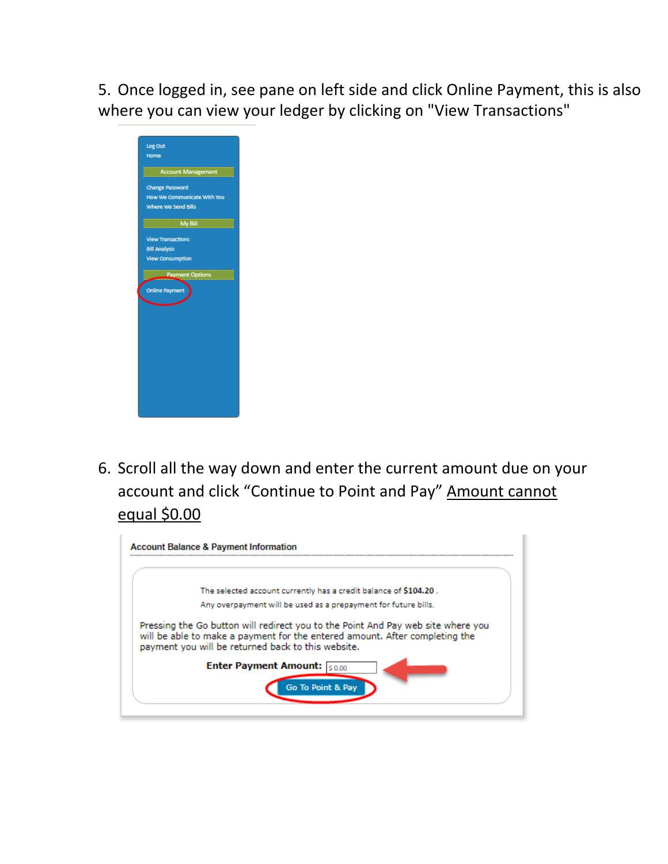5. Once logged in, see pane on left side and click Online Payment, this is also where you can view your ledger by clicking on "View Transactions"



6. Scroll all the way down and enter the current amount due on your account and click "Continue to Point and Pay" Amount cannot equal \$0.00

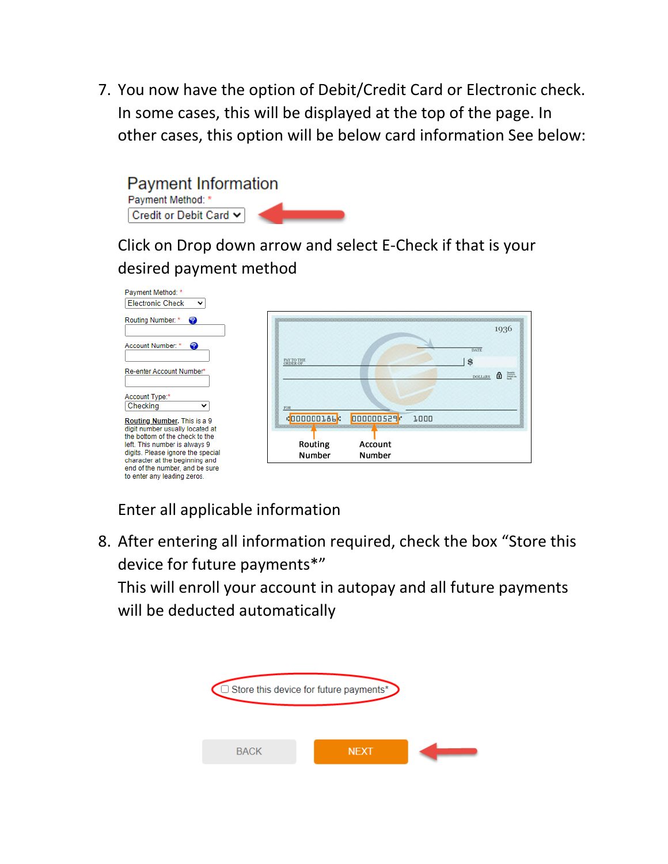7. You now have the option of Debit/Credit Card or Electronic check. In some cases, this will be displayed at the top of the page. In other cases, this option will be below card information See below:



Click on Drop down arrow and select E-Check if that is your desired payment method

| Payment Method: *                                               |                   |           |      |                       |
|-----------------------------------------------------------------|-------------------|-----------|------|-----------------------|
| <b>Electronic Check</b><br>◡                                    |                   |           |      |                       |
| Routing Number: *<br>2                                          |                   |           |      |                       |
|                                                                 |                   |           |      | 1936                  |
| ☎<br>Account Number: *                                          |                   |           |      | <b>DATE</b>           |
|                                                                 | PAY TO THE        |           |      | $\mathbf{s}$          |
| Re-enter Account Number*                                        |                   |           |      | 6 三<br><b>DOLLARS</b> |
|                                                                 |                   |           |      |                       |
| Account Type:*<br>Checking<br>$\check{ }$                       | FOR               |           |      |                       |
| Routing Number. This is a 9                                     | <b>COOOOOLAL:</b> | 000000529 | 1000 |                       |
| digit number usually located at                                 |                   |           |      |                       |
| the bottom of the check to the<br>left. This number is always 9 | Routing           | Account   |      |                       |
| digits. Please ignore the special                               | Number            | Number    |      |                       |
| character at the beginning and                                  |                   |           |      |                       |
| end of the number, and be sure<br>to enter any leading zeros.   |                   |           |      |                       |

Enter all applicable information

8. After entering all information required, check the box "Store this device for future payments\*"

This will enroll your account in autopay and all future payments will be deducted automatically